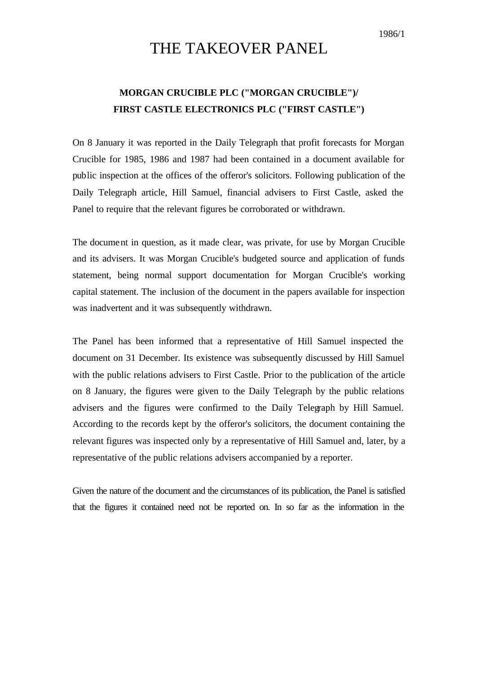1986/1

## THE TAKEOVER PANEL

## **MORGAN CRUCIBLE PLC ("MORGAN CRUCIBLE")/ FIRST CASTLE ELECTRONICS PLC ("FIRST CASTLE")**

On 8 January it was reported in the Daily Telegraph that profit forecasts for Morgan Crucible for 1985, 1986 and 1987 had been contained in a document available for public inspection at the offices of the offeror's solicitors. Following publication of the Daily Telegraph article, Hill Samuel, financial advisers to First Castle, asked the Panel to require that the relevant figures be corroborated or withdrawn.

The document in question, as it made clear, was private, for use by Morgan Crucible and its advisers. It was Morgan Crucible's budgeted source and application of funds statement, being normal support documentation for Morgan Crucible's working capital statement. The inclusion of the document in the papers available for inspection was inadvertent and it was subsequently withdrawn.

The Panel has been informed that a representative of Hill Samuel inspected the document on 31 December. Its existence was subsequently discussed by Hill Samuel with the public relations advisers to First Castle. Prior to the publication of the article on 8 January, the figures were given to the Daily Telegraph by the public relations advisers and the figures were confirmed to the Daily Telegraph by Hill Samuel. According to the records kept by the offeror's solicitors, the document containing the relevant figures was inspected only by a representative of Hill Samuel and, later, by a representative of the public relations advisers accompanied by a reporter.

Given the nature of the document and the circumstances of its publication, the Panel is satisfied that the figures it contained need not be reported on. In so far as the information in the